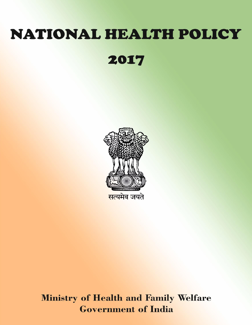# NATIONAL HEALTH POLICY

2017



**Ministry of Health and Family Welfare Government of India**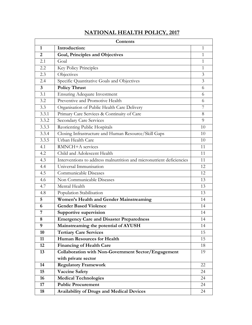| Contents       |                                                                      |              |  |
|----------------|----------------------------------------------------------------------|--------------|--|
| $\mathbf{1}$   | Introduction:                                                        | $\mathbf{1}$ |  |
| $\overline{2}$ | Goal, Principles and Objectives                                      | 1            |  |
| 2.1            | Goal                                                                 | 1            |  |
| 2.2            | Key Policy Principles                                                | $\mathbf{1}$ |  |
| 2.3            | Objectives                                                           | 3            |  |
| 2.4            | Specific Quantitative Goals and Objectives                           | 3            |  |
| $\mathbf{3}$   | <b>Policy Thrust</b>                                                 | 6            |  |
| 3.1            | <b>Ensuring Adequate Investment</b>                                  | 6            |  |
| 3.2            | Preventive and Promotive Health                                      | 6            |  |
| 3.3            | Organisation of Public Health Care Delivery                          | 7            |  |
| 3.3.1          | Primary Care Services & Continuity of Care                           | 8            |  |
| 3.3.2          | <b>Secondary Care Services</b>                                       | 9            |  |
| 3.3.3          | Reorienting Public Hospitals                                         | 10           |  |
| 3.3.4          | Closing Infrastructure and Human Resource/Skill Gaps                 | 10           |  |
| 3.3.5          | Urban Health Care                                                    | 10           |  |
| 4.1            | RMNCH+A services                                                     | 11           |  |
| 4.2            | Child and Adolescent Health                                          | 11           |  |
| 4.3            | Interventions to address malnutrition and micronutrient deficiencies | 11           |  |
| 4.4            | Universal Immunisation                                               | 12           |  |
| 4.5            | Communicable Diseases                                                | 12           |  |
| 4.6            | Non Communicable Diseases                                            | 13           |  |
| 4.7            | Mental Health                                                        | 13           |  |
| 4.8            | Population Stabilisation                                             | 13           |  |
| 5              | <b>Women's Health and Gender Mainstreaming</b>                       | 14           |  |
| 6              | <b>Gender Based Violence</b>                                         | 14           |  |
| 7              | Supportive supervision                                               | 14           |  |
| 8              | <b>Emergency Care and Disaster Preparedness</b>                      | 14           |  |
| 9              | Mainstreaming the potential of AYUSH                                 | 14           |  |
| 10             | <b>Tertiary Care Services</b>                                        | 15           |  |
| 11             | <b>Human Resources for Health</b>                                    | 15           |  |
| 12             | <b>Financing of Health Care</b>                                      | 18           |  |
| 13             | <b>Collaboration with Non-Government Sector/Engagement</b>           | 19           |  |
|                | with private sector                                                  |              |  |
| 14             | <b>Regulatory Framework</b>                                          | 22           |  |
| 15             | <b>Vaccine Safety</b>                                                | 24           |  |
| 16             | <b>Medical Technologies</b>                                          | 24           |  |
| 17             | <b>Public Procurement</b>                                            | 24           |  |
| 18             | <b>Availability of Drugs and Medical Devices</b>                     | 24           |  |

## **NATIONAL HEALTH POLICY, 2017**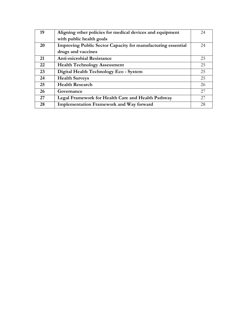| 19 | Aligning other policies for medical devices and equipment    | 24 |
|----|--------------------------------------------------------------|----|
|    | with public health goals                                     |    |
| 20 | Improving Public Sector Capacity for manufacturing essential | 24 |
|    | drugs and vaccines                                           |    |
| 21 | <b>Anti-microbial Resistance</b>                             | 25 |
| 22 | <b>Health Technology Assessment</b>                          | 25 |
| 23 | Digital Health Technology Eco - System                       | 25 |
| 24 | <b>Health Surveys</b>                                        | 25 |
| 25 | <b>Health Research</b>                                       | 26 |
| 26 | Governance                                                   | 27 |
| 27 | Legal Framework for Health Care and Health Pathway           | 27 |
| 28 | <b>Implementation Framework and Way forward</b>              | 28 |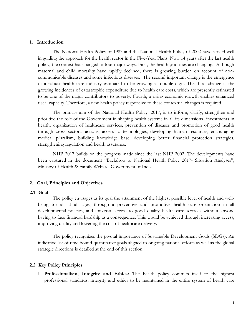#### **1. Introduction**

The National Health Policy of 1983 and the National Health Policy of 2002 have served well in guiding the approach for the health sector in the Five-Year Plans. Now 14 years after the last health policy, the context has changed in four major ways. First, the health priorities are changing. Although maternal and child mortality have rapidly declined, there is growing burden on account of noncommunicable diseases and some infectious diseases. The second important change is the emergence of a robust health care industry estimated to be growing at double digit. The third change is the growing incidences of catastrophic expenditure due to health care costs, which are presently estimated to be one of the major contributors to poverty. Fourth, a rising economic growth enables enhanced fiscal capacity. Therefore, a new health policy responsive to these contextual changes is required.

The primary aim of the National Health Policy, 2017, is to inform, clarify, strengthen and prioritize the role of the Government in shaping health systems in all its dimensions- investments in health, organization of healthcare services, prevention of diseases and promotion of good health through cross sectoral actions, access to technologies, developing human resources, encouraging medical pluralism, building knowledge base, developing better financial protection strategies, strengthening regulation and health assurance.

NHP 2017 builds on the progress made since the last NHP 2002. The developments have been captured in the document "Backdrop to National Health Policy 2017- Situation Analyses", Ministry of Health & Family Welfare, Government of India.

#### **2. Goal, Principles and Objectives**

#### **2.1 Goal**

The policy envisages as its goal the attainment of the highest possible level of health and wellbeing for all at all ages, through a preventive and promotive health care orientation in all developmental policies, and universal access to good quality health care services without anyone having to face financial hardship as a consequence. This would be achieved through increasing access, improving quality and lowering the cost of healthcare delivery.

The policy recognizes the pivotal importance of Sustainable Development Goals (SDGs). An indicative list of time bound quantitative goals aligned to ongoing national efforts as well as the global strategic directions is detailed at the end of this section.

#### **2.2 Key Policy Principles**

I. **Professionalism, Integrity and Ethics:** The health policy commits itself to the highest professional standards, integrity and ethics to be maintained in the entire system of health care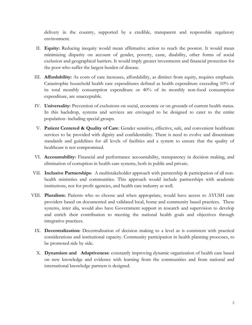delivery in the country, supported by a credible, transparent and responsible regulatory environment.

- II. **Equity:** Reducing inequity would mean affirmative action to reach the poorest. It would mean minimizing disparity on account of gender, poverty, caste, disability, other forms of social exclusion and geographical barriers. It would imply greater investments and financial protection for the poor who suffer the largest burden of disease.
- III. **Affordability:** As costs of care increases, affordability, as distinct from equity, requires emphasis. Catastrophic household health care expenditures defined as health expenditure exceeding 10% of its total monthly consumption expenditure or 40% of its monthly non-food consumption expenditure, are unacceptable.
- IV. **Universality:** Prevention of exclusions on social, economic or on grounds of current health status. In this backdrop, systems and services are envisaged to be designed to cater to the entire population- including special groups.
- V. **Patient Centered & Quality of Care**: Gender sensitive, effective, safe, and convenient healthcare services to be provided with dignity and confidentiality. There is need to evolve and disseminate standards and guidelines for all levels of facilities and a system to ensure that the quality of healthcare is not compromised.
- VI. **Accountability:** Financial and performance accountability, transparency in decision making, and elimination of corruption in health care systems, both in public and private.
- VII. **Inclusive Partnerships**: A multistakeholder approach with partnership & participation of all nonhealth ministries and communities. This approach would include partnerships with academic institutions, not for profit agencies, and health care industry as well.
- VIII. **Pluralism:** Patients who so choose and when appropriate, would have access to AYUSH care providers based on documented and validated local, home and community based practices. These systems, inter alia, would also have Government support in research and supervision to develop and enrich their contribution to meeting the national health goals and objectives through integrative practices.
	- IX. **Decentralization:** Decentralisation of decision making to a level as is consistent with practical considerations and institutional capacity. Community participation in health planning processes, to be promoted side by side.
	- X. **Dynamism and Adaptiveness**: constantly improving dynamic organization of health care based on new knowledge and evidence with learning from the communities and from national and international knowledge partners is designed.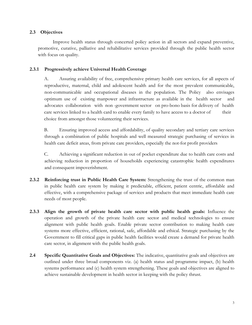## **2.3 Objectives**

Improve health status through concerted policy action in all sectors and expand preventive, promotive, curative, palliative and rehabilitative services provided through the public health sector with focus on quality.

## **2.3.1 Progressively achieve Universal Health Coverage**

A. Assuring availability of free, comprehensive primary health care services, for all aspects of reproductive, maternal, child and adolescent health and for the most prevalent communicable, non-communicable and occupational diseases in the population. The Policy also envisages optimum use of existing manpower and infrastructure as available in the health sector and advocates collaboration with non -government sector on pro-bono basis for delivery of health care services linked to a health card to enable every family to have access to a doctor of their choice from amongst those volunteering their services.

B. Ensuring improved access and affordability, of quality secondary and tertiary care services through a combination of public hospitals and well measured strategic purchasing of services in health care deficit areas, from private care providers, especially the not-for profit providers

C. Achieving a significant reduction in out of pocket expenditure due to health care costs and achieving reduction in proportion of households experiencing catastrophic health expenditures and consequent impoverishment.

- **2.3.2 Reinforcing trust in Public Health Care System:** Strengthening the trust of the common man in public health care system by making it predictable, efficient, patient centric, affordable and effective, with a comprehensive package of services and products that meet immediate health care needs of most people.
- **2.3.3 Align the growth of private health care sector with public health goals:** Influence the operation and growth of the private health care sector and medical technologies to ensure alignment with public health goals. Enable private sector contribution to making health care systems more effective, efficient, rational, safe, affordable and ethical. Strategic purchasing by the Government to fill critical gaps in public health facilities would create a demand for private health care sector, in alignment with the public health goals.
- **2.4 Specific Quantitative Goals and Objectives:** The indicative, quantitative goals and objectives are outlined under three broad components viz. (a) health status and programme impact, (b) health systems performance and (c) health system strengthening. These goals and objectives are aligned to achieve sustainable development in health sector in keeping with the policy thrust.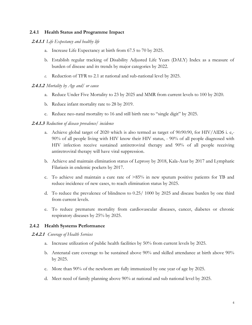## **2.4.1 Health Status and Programme Impact**

## **2.4.1.1** *Life Expectancy and healthy life*

- a. Increase Life Expectancy at birth from 67.5 to 70 by 2025.
- b. Establish regular tracking of Disability Adjusted Life Years (DALY) Index as a measure of burden of disease and its trends by major categories by 2022.
- *c.* Reduction of TFR to 2.1 at national and sub-national level by 2025.

## **2.4.1.2** *Mortality by Age and/ or cause*

- a. Reduce Under Five Mortality to 23 by 2025 and MMR from current levels to 100 by 2020.
- b. Reduce infant mortality rate to 28 by 2019.
- c. Reduce neo-natal mortality to 16 and still birth rate to "single digit" by 2025.

## **2.4.1.3** *Reduction of disease prevalence/ incidence*

- a. Achieve global target of 2020 which is also termed as target of 90:90:90, for HIV/AIDS i. e,- 90% of all people living with HIV know their HIV status, - 90% of all people diagnosed with HIV infection receive sustained antiretroviral therapy and 90% of all people receiving antiretroviral therapy will have viral suppression.
- b. Achieve and maintain elimination status of Leprosy by 2018, Kala-Azar by 2017 and Lymphatic Filariasis in endemic pockets by 2017.
- c. To achieve and maintain a cure rate of >85% in new sputum positive patients for TB and reduce incidence of new cases, to reach elimination status by 2025.
- d. To reduce the prevalence of blindness to 0.25/ 1000 by 2025 and disease burden by one third from current levels.
- e. To reduce premature mortality from cardiovascular diseases, cancer, diabetes or chronic respiratory diseases by 25% by 2025.

## **2.4.2 Health Systems Performance**

#### **2.4.2.1** *Coverage of Health Services*

- a. Increase utilization of public health facilities by 50% from current levels by 2025.
- b. Antenatal care coverage to be sustained above 90% and skilled attendance at birth above 90% by 2025.
- c. More than 90% of the newborn are fully immunized by one year of age by 2025.
- d. Meet need of family planning above 90% at national and sub national level by 2025.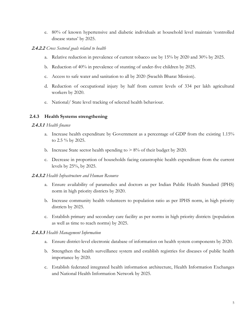e. 80% of known hypertensive and diabetic individuals at household level maintain "controlled disease status' by 2025.

## **2.4.2.2** *Cross Sectoral goals related to health*

- a. Relative reduction in prevalence of current tobacco use by 15% by 2020 and 30% by 2025.
- b. Reduction of 40% in prevalence of stunting of under-five children by 2025.
- c. Access to safe water and sanitation to all by 2020 (Swachh Bharat Mission).
- d. Reduction of occupational injury by half from current levels of 334 per lakh agricultural workers by 2020.
- e. National/ State level tracking of selected health behaviour.

## **2.4.3 Health Systems strengthening**

## **2.4.3.1** *Health finance*

- a. Increase health expenditure by Government as a percentage of GDP from the existing 1.15% to 2.5 % by 2025.
- b. Increase State sector health spending to  $> 8\%$  of their budget by 2020.
- c. Decrease in proportion of households facing catastrophic health expenditure from the current levels by 25%, by 2025.

## **2.4.3.2** *Health Infrastructure and Human Resource*

- a. Ensure availability of paramedics and doctors as per Indian Public Health Standard (IPHS) norm in high priority districts by 2020.
- b. Increase community health volunteers to population ratio as per IPHS norm, in high priority districts by 2025.
- c. Establish primary and secondary care facility as per norms in high priority districts (population as well as time to reach norms) by 2025.

#### **2.4.3.3** *Health Management Information*

- a. Ensure district-level electronic database of information on health system components by 2020.
- b. Strengthen the health surveillance system and establish registries for diseases of public health importance by 2020.
- c. Establish federated integrated health information architecture, Health Information Exchanges and National Health Information Network by 2025.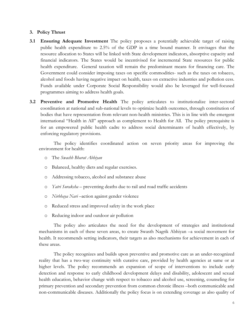#### **3. Policy Thrust**

- **3.1 Ensuring Adequate Investment** The policy proposes a potentially achievable target of raising public health expenditure to 2.5% of the GDP in a time bound manner. It envisages that the resource allocation to States will be linked with State development indicators, absorptive capacity and financial indicators. The States would be incentivised for incremental State resources for public health expenditure. General taxation will remain the predominant means for financing care. The Government could consider imposing taxes on specific commodities- such as the taxes on tobacco, alcohol and foods having negative impact on health, taxes on extractive industries and pollution cess. Funds available under Corporate Social Responsibility would also be leveraged for well-focused programmes aiming to address health goals.
- **3.2 Preventive and Promotive Health** The policy articulates to institutionalize inter-sectoral coordination at national and sub-national levels to optimize health outcomes, through constitution of bodies that have representation from relevant non-health ministries. This is in line with the emergent international "Health in All" approach as complement to Health for All. The policy prerequisite is for an empowered public health cadre to address social determinants of health effectively, by enforcing regulatory provisions.

The policy identifies coordinated action on seven priority areas for improving the environment for health:

- o The *Swachh Bharat Abhiyan*
- o Balanced, healthy diets and regular exercises.
- o Addressing tobacco, alcohol and substance abuse
- o *Yatri Suraksha* preventing deaths due to rail and road traffic accidents
- o *Nirbhaya Nari* –action against gender violence
- o Reduced stress and improved safety in the work place
- o Reducing indoor and outdoor air pollution

The policy also articulates the need for the development of strategies and institutional mechanisms in each of these seven areas, to create Swasth Nagrik Abhiyan –a social movement for health. It recommends setting indicators, their targets as also mechanisms for achievement in each of these areas.

The policy recognizes and builds upon preventive and promotive care as an under-recognized reality that has a two-way continuity with curative care, provided by health agencies at same or at higher levels. The policy recommends an expansion of scope of interventions to include early detection and response to early childhood development delays and disability, adolescent and sexual health education, behavior change with respect to tobacco and alcohol use, screening, counseling for primary prevention and secondary prevention from common chronic illness –both communicable and non-communicable diseases. Additionally the policy focus is on extending coverage as also quality of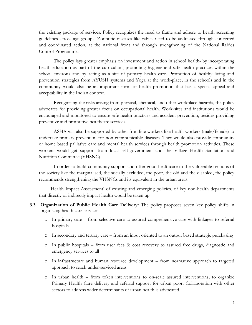the existing package of services. Policy recognizes the need to frame and adhere to health screening guidelines across age groups. Zoonotic diseases like rabies need to be addressed through concerted and coordinated action, at the national front and through strengthening of the National Rabies Control Programme.

The policy lays greater emphasis on investment and action in school health- by incorporating health education as part of the curriculum, promoting hygiene and safe health practices within the school environs and by acting as a site of primary health care. Promotion of healthy living and prevention strategies from AYUSH systems and Yoga at the work-place, in the schools and in the community would also be an important form of health promotion that has a special appeal and acceptability in the Indian context.

Recognizing the risks arising from physical, chemical, and other workplace hazards, the policy advocates for providing greater focus on occupational health. Work-sites and institutions would be encouraged and monitored to ensure safe health practices and accident prevention, besides providing preventive and promotive healthcare services.

ASHA will also be supported by other frontline workers like health workers (male/female) to undertake primary prevention for non-communicable diseases. They would also provide community or home based palliative care and mental health services through health promotion activities. These workers would get support from local self-government and the Village Health Sanitation and Nutrition Committee (VHSNC).

In order to build community support and offer good healthcare to the vulnerable sections of the society like the marginalised, the socially excluded, the poor, the old and the disabled, the policy recommends strengthening the VHSNCs and its equivalent in the urban areas.

"Health Impact Assessment" of existing and emerging policies, of key non-health departments that directly or indirectly impact health would be taken up.

- **3.3 Organization of Public Health Care Delivery:** The policy proposes seven key policy shifts in organizing health care services
	- o In primary care from selective care to assured comprehensive care with linkages to referral hospitals
	- o In secondary and tertiary care from an input oriented to an output based strategic purchasing
	- o In public hospitals from user fees & cost recovery to assured free drugs, diagnostic and emergency services to all
	- o In infrastructure and human resource development from normative approach to targeted approach to reach under-serviced areas
	- o In urban health from token interventions to on-scale assured interventions, to organize Primary Health Care delivery and referral support for urban poor. Collaboration with other sectors to address wider determinants of urban health is advocated.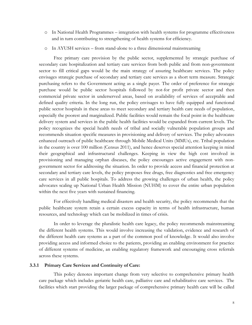- o In National Health Programmes integration with health systems for programme effectiveness and in turn contributing to strengthening of health systems for efficiency.
- o In AYUSH services from stand-alone to a three dimensional mainstreaming

Free primary care provision by the public sector, supplemented by strategic purchase of secondary care hospitalization and tertiary care services from both public and from non-government sector to fill critical gaps would be the main strategy of assuring healthcare services. The policy envisages strategic purchase of secondary and tertiary care services as a short term measure. Strategic purchasing refers to the Government acting as a single payer. The order of preference for strategic purchase would be public sector hospitals followed by not-for profit private sector and then commercial private sector in underserved areas, based on availability of services of acceptable and defined quality criteria. In the long run, the policy envisages to have fully equipped and functional public sector hospitals in these areas to meet secondary and tertiary health care needs of population, especially the poorest and marginalized. Public facilities would remain the focal point in the healthcare delivery system and services in the public health facilities would be expanded from current levels. The policy recognizes the special health needs of tribal and socially vulnerable population groups and recommends situation specific measures in provisioning and delivery of services. The policy advocates enhanced outreach of public healthcare through Mobile Medical Units (MMUs), etc. Tribal population in the country is over 100 million (Census 2011), and hence deserves special attention keeping in mind their geographical and infrastructural challenges. Keeping in view the high cost involved in provisioning and managing orphan diseases, the policy encourages active engagement with nongovernment sector for addressing the situation. In order to provide access and financial protection at secondary and tertiary care levels, the policy proposes free drugs, free diagnostics and free emergency care services in all public hospitals. To address the growing challenges of urban health, the policy advocates scaling up National Urban Health Mission (NUHM) to cover the entire urban population within the next five years with sustained financing.

For effectively handling medical disasters and health security, the policy recommends that the public healthcare system retain a certain excess capacity in terms of health infrastructure, human resources, and technology which can be mobilized in times of crisis.

In order to leverage the pluralistic health care legacy, the policy recommends mainstreaming the different health systems. This would involve increasing the validation, evidence and research of the different health care systems as a part of the common pool of knowledge. It would also involve providing access and informed choice to the patients, providing an enabling environment for practice of different systems of medicine, an enabling regulatory framework and encouraging cross referrals across these systems.

#### **3.3.1 Primary Care Services and Continuity of Care:**

This policy denotes important change from very selective to comprehensive primary health care package which includes geriatric health care, palliative care and rehabilitative care services. The facilities which start providing the larger package of comprehensive primary health care will be called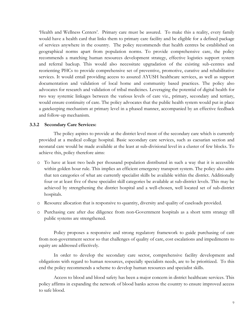'Health and Wellness Centers'. Primary care must be assured. To make this a reality, every family would have a health card that links them to primary care facility and be eligible for a defined package of services anywhere in the country. The policy recommends that health centres be established on geographical norms apart from population norms. To provide comprehensive care, the policy recommends a matching human resources development strategy, effective logistics support system and referral backup. This would also necessitate upgradation of the existing sub-centres and reorienting PHCs to provide comprehensive set of preventive, promotive, curative and rehabilitative services. It would entail providing access to assured AYUSH healthcare services, as well as support documentation and validation of local home and community based practices. The policy also advocates for research and validation of tribal medicines. Leveraging the potential of digital health for two way systemic linkages between the various levels of care viz., primary, secondary and tertiary, would ensure continuity of care. The policy advocates that the public health system would put in place a gatekeeping mechanism at primary level in a phased manner, accompanied by an effective feedback and follow-up mechanism.

#### **3.3.2 Secondary Care Services:**

The policy aspires to provide at the district level most of the secondary care which is currently provided at a medical college hospital. Basic secondary care services, such as caesarian section and neonatal care would be made available at the least at sub-divisional level in a cluster of few blocks. To achieve this, policy therefore aims:

- o To have at least two beds per thousand population distributed in such a way that it is accessible within golden hour rule. This implies an efficient emergency transport system. The policy also aims that ten categories of what are currently specialist skills be available within the district. Additionally four or at least five of these specialist skill categories be available at sub-district levels. This may be achieved by strengthening the district hospital and a well-chosen, well located set of sub-district hospitals.
- o Resource allocation that is responsive to quantity, diversity and quality of caseloads provided.
- o Purchasing care after due diligence from non-Government hospitals as a short term strategy till public systems are strengthened.

Policy proposes a responsive and strong regulatory framework to guide purchasing of care from non-government sector so that challenges of quality of care, cost escalations and impediments to equity are addressed effectively.

In order to develop the secondary care sector, comprehensive facility development and obligations with regard to human resources, especially specialists needs, are to be prioritized. To this end the policy recommends a scheme to develop human resources and specialist skills.

Access to blood and blood safety has been a major concern in district healthcare services. This policy affirms in expanding the network of blood banks across the country to ensure improved access to safe blood.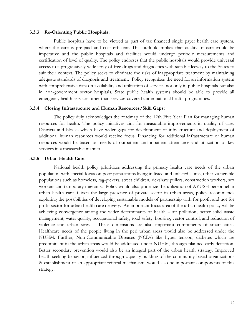#### **3.3.3 Re-Orienting Public Hospitals:**

Public hospitals have to be viewed as part of tax financed single payer health care system, where the care is pre-paid and cost efficient. This outlook implies that quality of care would be imperative and the public hospitals and facilities would undergo periodic measurements and certification of level of quality. The policy endorses that the public hospitals would provide universal access to a progressively wide array of free drugs and diagnostics with suitable leeway to the States to suit their context. The policy seeks to eliminate the risks of inappropriate treatment by maintaining adequate standards of diagnosis and treatment. Policy recognizes the need for an information system with comprehensive data on availability and utilization of services not only in public hospitals but also in non-government sector hospitals. State public health systems should be able to provide all emergency health services other than services covered under national health programmes.

#### **3.3.4 Closing Infrastructure and Human Resources/Skill Gaps:**

The policy duly acknowledges the roadmap of the 12th Five Year Plan for managing human resources for health. The policy initiatives aim for measurable improvements in quality of care. Districts and blocks which have wider gaps for development of infrastructure and deployment of additional human resources would receive focus. Financing for additional infrastructure or human resources would be based on needs of outpatient and inpatient attendance and utilization of key services in a measurable manner.

#### **3.3.5 Urban Health Care:**

National health policy prioritizes addressing the primary health care needs of the urban population with special focus on poor populations living in listed and unlisted slums, other vulnerable populations such as homeless, rag-pickers, street children, rickshaw pullers, construction workers, sex workers and temporary migrants. Policy would also prioritize the utilization of AYUSH personnel in urban health care. Given the large presence of private sector in urban areas, policy recommends exploring the possibilities of developing sustainable models of partnership with for profit and not for profit sector for urban health care delivery. An important focus area of the urban health policy will be achieving convergence among the wider determinants of health – air pollution, better solid waste management, water quality, occupational safety, road safety, housing, vector control, and reduction of violence and urban stress. These dimensions are also important components of smart cities. Healthcare needs of the people living in the peri urban areas would also be addressed under the NUHM. Further, Non-Communicable Diseases (NCDs) like hyper tension, diabetes which are predominant in the urban areas would be addressed under NUHM, through planned early detection. Better secondary prevention would also be an integral part of the urban health strategy. Improved health seeking behavior, influenced through capacity building of the community based organizations & establishment of an appropriate referral mechanism, would also be important components of this strategy.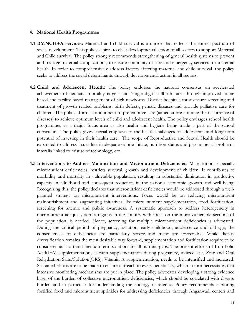#### **4. National Health Programmes**

- **4.1 RMNCH+A services:** Maternal and child survival is a mirror that reflects the entire spectrum of social development. This policy aspires to elicit developmental action of all sectors to support Maternal and Child survival. The policy strongly recommends strengthening of general health systems to prevent and manage maternal complications, to ensure continuity of care and emergency services for maternal health. In order to comprehensively address factors affecting maternal and child survival, the policy seeks to address the social determinants through developmental action in all sectors.
- **4.2 Child and Adolescent Health:** The policy endorses the national consensus on accelerated achievement of neonatal mortality targets and "single digit" stillbirth rates through improved home based and facility based management of sick newborns. District hospitals must ensure screening and treatment of growth related problems, birth defects, genetic diseases and provide palliative care for children. The policy affirms commitment to pre-emptive care (aimed at pre-empting the occurrence of diseases) to achieve optimum levels of child and adolescent health. The policy envisages school health programmes as a major focus area as also health and hygiene being made a part of the school curriculum. The policy gives special emphasis to the health challenges of adolescents and long term potential of investing in their health care. The scope of Reproductive and Sexual Health should be expanded to address issues like inadequate calorie intake, nutrition status and psychological problems interalia linked to misuse of technology, etc.
- **4.3 Interventions to Address Malnutrition and Micronutrient Deficiencies:** Malnutrition, especially micronutrient deficiencies, restricts survival, growth and development of children. It contributes to morbidity and mortality in vulnerable population, resulting in substantial diminution in productive capacity in adulthood and consequent reduction in the nation"s economic growth and well-being. Recognising this, the policy declares that micronutrient deficiencies would be addressed through a wellplanned strategy on micronutrient interventions. Focus would be on reducing micronutrient malnourishment and augmenting initiatives like micro nutrient supplementation, food fortification, screening for anemia and public awareness. A systematic approach to address heterogeneity in micronutrient adequacy across regions in the country with focus on the more vulnerable sections of the population, is needed. Hence, screening for multiple micronutrient deficiencies is advocated. During the critical period of pregnancy, lactation, early childhood, adolescence and old age, the consequences of deficiencies are particularly severe and many are irreversible. While dietary diversification remains the most desirable way forward, supplementation and fortification require to be considered as short and medium term solutions to fill nutrient gaps. The present efforts of Iron Folic Acid(IFA) supplementation, calcium supplementation during pregnancy, iodized salt, Zinc and Oral Rehydration Salts/Solution(ORS), Vitamin A supplementation, needs to be intensified and increased. Sustained efforts are to be made to ensure outreach to every beneficiary, which in turn necessitates that intensive monitoring mechanisms are put in place. The policy advocates developing a strong evidence base, of the burden of collective micronutrient deficiencies, which should be correlated with disease burden and in particular for understanding the etiology of anemia. Policy recommends exploring fortified food and micronutrient sprinkles for addressing deficiencies through Anganwadi centers and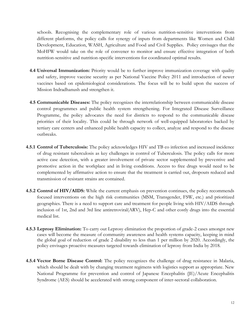schools. Recognising the complementary role of various nutrition-sensitive interventions from different platforms, the policy calls for synergy of inputs from departments like Women and Child Development, Education, WASH, Agriculture and Food and Civil Supplies. Policy envisages that the MoHFW would take on the role of convener to monitor and ensure effective integration of both nutrition-sensitive and nutrition-specific interventions for coordinated optimal results.

- **4.4 Universal Immunization:** Priority would be to further improve immunization coverage with quality and safety, improve vaccine security as per National Vaccine Policy 2011 and introduction of newer vaccines based on epidemiological considerations. The focus will be to build upon the success of Mission Indradhanush and strengthen it.
- **4.5 Communicable Diseases:** The policy recognizes the interrelationship between communicable disease control programmes and public health system strengthening. For Integrated Disease Surveillance Programme, the policy advocates the need for districts to respond to the communicable disease priorities of their locality. This could be through network of well-equipped laboratories backed by tertiary care centers and enhanced public health capacity to collect, analyze and respond to the disease outbreaks.
- **4.5.1 Control of Tuberculosis:** The policy acknowledges HIV and TB co infection and increased incidence of drug resistant tuberculosis as key challenges in control of Tuberculosis. The policy calls for more active case detection, with a greater involvement of private sector supplemented by preventive and promotive action in the workplace and in living conditions. Access to free drugs would need to be complemented by affirmative action to ensure that the treatment is carried out, dropouts reduced and transmission of resistant strains are contained.
- **4.5.2 Control of HIV/AIDS:** While the current emphasis on prevention continues, the policy recommends focused interventions on the high risk communities (MSM, Transgender, FSW, etc.) and prioritized geographies. There is a need to support care and treatment for people living with HIV/AIDS through inclusion of 1st, 2nd and 3rd line antiretroviral(ARV), Hep-C and other costly drugs into the essential medical list.
- **4.5.3 Leprosy Elimination:** To carry out Leprosy elimination the proportion of grade-2 cases amongst new cases will become the measure of community awareness and health systems capacity, keeping in mind the global goal of reduction of grade 2 disability to less than 1 per million by 2020. Accordingly, the policy envisages proactive measures targeted towards elimination of leprosy from India by 2018.
- **4.5.4 Vector Borne Disease Control:** The policy recognizes the challenge of drug resistance in Malaria, which should be dealt with by changing treatment regimens with logistics support as appropriate. New National Programme for prevention and control of Japanese Encephalitis (JE)/Acute Encephalitis Syndrome (AES) should be accelerated with strong component of inter-sectoral collaboration.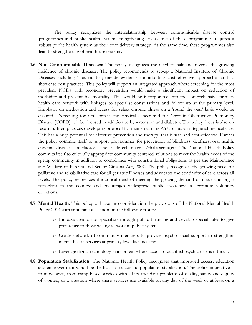The policy recognizes the interrelationship between communicable disease control programmes and public health system strengthening. Every one of these programmes requires a robust public health system as their core delivery strategy. At the same time, these programmes also lead to strengthening of healthcare systems.

- **4.6 Non-Communicable Diseases:** The policy recognizes the need to halt and reverse the growing incidence of chronic diseases. The policy recommends to set-up a National Institute of Chronic Diseases including Trauma, to generate evidence for adopting cost effective approaches and to showcase best practices. This policy will support an integrated approach where screening for the most prevalent NCDs with secondary prevention would make a significant impact on reduction of morbidity and preventable mortality. This would be incorporated into the comprehensive primary health care network with linkages to specialist consultations and follow up at the primary level. Emphasis on medication and access for select chronic illness on a "round the year" basis would be ensured. Screening for oral, breast and cervical cancer and for Chronic Obstructive Pulmonary Disease (COPD) will be focused in addition to hypertension and diabetes. The policy focus is also on research. It emphasizes developing protocol for mainstreaming AYUSH as an integrated medical care. This has a huge potential for effective prevention and therapy, that is safe and cost-effective. Further the policy commits itself to support programmes for prevention of blindness, deafness, oral health, endemic diseases like fluorosis and sickle cell anaemia/thalassemia,etc. The National Health Policy commits itself to culturally appropriate community centered solutions to meet the health needs of the ageing community in addition to compliance with constitutional obligations as per the Maintenance and Welfare of Parents and Senior Citizens Act, 2007. The policy recognizes the growing need for palliative and rehabilitative care for all geriatric illnesses and advocates the continuity of care across all levels. The policy recognizes the critical need of meeting the growing demand of tissue and organ transplant in the country and encourages widespread public awareness to promote voluntary donations.
- **4.7 Mental Health:** This policy will take into consideration the provisions of the National Mental Health Policy 2014 with simultaneous action on the following fronts:
	- o Increase creation of specialists through public financing and develop special rules to give preference to those willing to work in public systems.
	- o Create network of community members to provide psycho-social support to strengthen mental health services at primary level facilities and
	- o Leverage digital technology in a context where access to qualified psychiatrists is difficult.
- **4.8 Population Stabilization:** The National Health Policy recognises that improved access, education and empowerment would be the basis of successful population stabilization. The policy imperative is to move away from camp based services with all its attendant problems of quality, safety and dignity of women, to a situation where these services are available on any day of the week or at least on a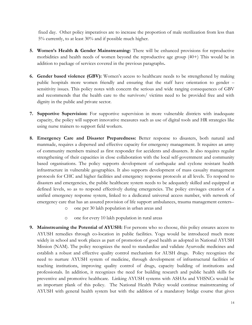fixed day. Other policy imperatives are to increase the proportion of male sterilization from less than 5% currently, to at least 30% and if possible much higher.

- **5. Women's Health & Gender Mainstreaming:** There will be enhanced provisions for reproductive morbidities and health needs of women beyond the reproductive age group (40+) This would be in addition to package of services covered in the previous paragraphs**.**
- **6.** Gender based violence (GBV): Women's access to healthcare needs to be strengthened by making public hospitals more women friendly and ensuring that the staff have orientation to gender – sensitivity issues. This policy notes with concern the serious and wide ranging consequences of GBV and recommends that the health care to the survivors/ victims need to be provided free and with dignity in the public and private sector.
- **7. Supportive Supervision:** For supportive supervision in more vulnerable districts with inadequate capacity, the policy will support innovative measures such as use of digital tools and HR strategies like using nurse trainers to support field workers.
- **8. Emergency Care and Disaster Preparedness:** Better response to disasters, both natural and manmade, requires a dispersed and effective capacity for emergency management. It requires an army of community members trained as first responder for accidents and disasters. It also requires regular strengthening of their capacities in close collaboration with the local self-government and community based organisations. The policy supports development of earthquake and cyclone resistant health infrastructure in vulnerable geographies. It also supports development of mass casualty management protocols for CHC and higher facilities and emergency response protocols at all levels. To respond to disasters and emergencies, the public healthcare system needs to be adequately skilled and equipped at defined levels, so as to respond effectively during emergencies. The policy envisages creation of a unified emergency response system, linked to a dedicated universal access number, with network of emergency care that has an assured provision of life support ambulances, trauma management centers–
	- o one per 30 lakh population in urban areas and
	- o one for every 10 lakh population in rural areas
- **9. Mainstreaming the Potential of AYUSH:** For persons who so choose, this policy ensures access to AYUSH remedies through co-location in public facilities. Yoga would be introduced much more widely in school and work places as part of promotion of good health as adopted in National AYUSH Mission (NAM). The policy recognizes the need to standardize and validate Ayurvedic medicines and establish a robust and effective quality control mechanism for AUSH drugs. Policy recognizes the need to nurture AYUSH system of medicine, through development of infrastructural facilities of teaching institutions, improving quality control of drugs, capacity building of institutions and professionals. In addition, it recognizes the need for building research and public health skills for preventive and promotive healthcare. Linking AYUSH systems with ASHAs and VHSNCs would be an important plank of this policy. The National Health Policy would continue mainstreaming of AYUSH with general health system but with the addition of a mandatory bridge course that gives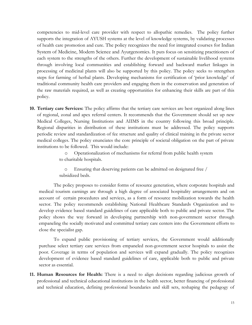competencies to mid-level care provider with respect to allopathic remedies. The policy further supports the integration of AYUSH systems at the level of knowledge systems, by validating processes of health care promotion and cure. The policy recognizes the need for integrated courses for Indian System of Medicine, Modern Science and Ayurgenomics. It puts focus on sensitizing practitioners of each system to the strengths of the others. Further the development of sustainable livelihood systems through involving local communities and establishing forward and backward market linkages in processing of medicinal plants will also be supported by this policy. The policy seeks to strengthen steps for farming of herbal plants. Developing mechanisms for certification of "prior knowledge" of traditional community health care providers and engaging them in the conservation and generation of the raw materials required, as well as creating opportunities for enhancing their skills are part of this policy.

**10. Tertiary care Services:** The policy affirms that the tertiary care services are best organized along lines of regional, zonal and apex referral centers. It recommends that the Government should set up new Medical Colleges, Nursing Institutions and AIIMS in the country following this broad principle. Regional disparities in distribution of these institutions must be addressed. The policy supports periodic review and standardization of fee structure and quality of clinical training in the private sector medical colleges. The policy enunciates the core principle of societal obligation on the part of private institutions to be followed. This would include:

> o Operationalization of mechanisms for referral from public health system to charitable hospitals.

o Ensuring that deserving patients can be admitted on designated free / subsidized beds.

The policy proposes to consider forms of resource generation, where corporate hospitals and medical tourism earnings are through a high degree of associated hospitality arrangements and on account of certain procedures and services, as a form of resource mobilization towards the health sector. The policy recommends establishing National Healthcare Standards Organization and to develop evidence based standard guidelines of care applicable both to public and private sector. The policy shows the way forward in developing partnership with non-government sector through empaneling the socially motivated and committed tertiary care centers into the Government efforts to close the specialist gap.

To expand public provisioning of tertiary services, the Government would additionally purchase select tertiary care services from empaneled non-government sector hospitals to assist the poor. Coverage in terms of population and services will expand gradually. The policy recognizes development of evidence based standard guidelines of care, applicable both to public and private sector as essential.

**11. Human Resources for Health:** There is a need to align decisions regarding judicious growth of professional and technical educational institutions in the health sector, better financing of professional and technical education, defining professional boundaries and skill sets, reshaping the pedagogy of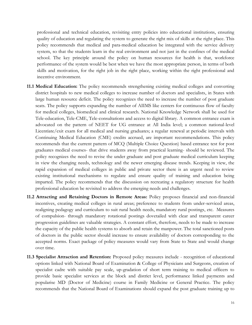professional and technical education, revisiting entry policies into educational institutions, ensuring quality of education and regulating the system to generate the right mix of skills at the right place. This policy recommends that medical and para-medical education be integrated with the service delivery system, so that the students learn in the real environment and not just in the confines of the medical school. The key principle around the policy on human resources for health is that, workforce performance of the system would be best when we have the most appropriate person, in terms of both skills and motivation, for the right job in the right place, working within the right professional and incentive environment.

- **11.1 Medical Education:** The policy recommends strengthening existing medical colleges and converting district hospitals to new medical colleges to increase number of doctors and specialists, in States with large human resource deficit. The policy recognizes the need to increase the number of post graduate seats. The policy supports expanding the number of AIIMS like centers for continuous flow of faculty for medical colleges, biomedical and clinical research. National Knowledge Network shall be used for Tele-education, Tele-CME, Tele-consultations and access to digital library. A common entrance exam is advocated on the pattern of NEET for UG entrance at All India level; a common national-level Licentiate/exit exam for all medical and nursing graduates; a regular renewal at periodic intervals with Continuing Medical Education (CME) credits accrued, are important recommendations. This policy recommends that the current pattern of MCQ (Multiple Choice Question) based entrance test for post graduates medical courses- that drive students away from practical learning- should be reviewed. The policy recognizes the need to revise the under graduate and post graduate medical curriculum keeping in view the changing needs, technology and the newer emerging disease trends. Keeping in view, the rapid expansion of medical colleges in public and private sector there is an urgent need to review existing institutional mechanisms to regulate and ensure quality of training and education being imparted. The policy recommends that the discussion on recreating a regulatory structure for health professional education be revisited to address the emerging needs and challenges.
- **11.2 Attracting and Retaining Doctors in Remote Areas:** Policy proposes financial and non-financial incentives, creating medical colleges in rural areas; preference to students from under-serviced areas, realigning pedagogy and curriculum to suit rural health needs, mandatory rural postings, etc. Measures of compulsion- through mandatory rotational postings dovetailed with clear and transparent career progression guidelines are valuable strategies. A constant effort, therefore, needs to be made to increase the capacity of the public health systems to absorb and retain the manpower. The total sanctioned posts of doctors in the public sector should increase to ensure availability of doctors corresponding to the accepted norms. Exact package of policy measures would vary from State to State and would change over time.
- **11.3 Specialist Attraction and Retention:** Proposed policy measures include recognition of educational options linked with National Board of Examination & College of Physicians and Surgeons, creation of specialist cadre with suitable pay scale, up-gradation of short term training to medical officers to provide basic specialist services at the block and district level, performance linked payments and popularise MD (Doctor of Medicine) course in Family Medicine or General Practice. The policy recommends that the National Board of Examinations should expand the post graduate training up to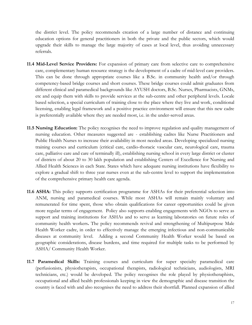the district level. The policy recommends creation of a large number of distance and continuing education options for general practitioners in both the private and the public sectors, which would upgrade their skills to manage the large majority of cases at local level, thus avoiding unnecessary referrals.

- **11.4 Mid-Level Service Providers:** For expansion of primary care from selective care to comprehensive care, complementary human resource strategy is the development of a cadre of mid-level care providers. This can be done through appropriate courses like a B.Sc. in community health and/or through competency-based bridge courses and short courses. These bridge courses could admit graduates from different clinical and paramedical backgrounds like AYUSH doctors, B.Sc. Nurses, Pharmacists, GNMs, etc and equip them with skills to provide services at the sub-centre and other peripheral levels. Locale based selection, a special curriculum of training close to the place where they live and work, conditional licensing, enabling legal framework and a positive practice environment will ensure that this new cadre is preferentially available where they are needed most, i.e. in the under-served areas.
- **11.5 Nursing Education:** The policy recognises the need to improve regulation and quality management of nursing education. Other measures suggested are - establishing cadres like Nurse Practitioners and Public Health Nurses to increase their availability in most needed areas. Developing specialized nursing training courses and curriculum (critical care, cardio-thoracic vascular care, neurological care, trauma care, palliative care and care of terminally ill), establishing nursing school in every large district or cluster of districts of about 20 to 30 lakh population and establishing Centers of Excellence for Nursing and Allied Health Sciences in each State. States which have adequate nursing institutions have flexibility to explore a gradual shift to three year nurses even at the sub-centre level to support the implementation of the comprehensive primary health care agenda.
- **11.6 ASHA:** This policy supports certification programme for ASHAs for their preferential selection into ANM, nursing and paramedical courses. While most ASHAs will remain mainly voluntary and remunerated for time spent, those who obtain qualifications for career opportunities could be given more regular terms of engagement. Policy also supports enabling engagements with NGOs to serve as support and training institutions for ASHAs and to serve as learning laboratories on future roles of community health workers**.** The policy recommends revival and strengthening of Multipurpose Male Health Worker cadre, in order to effectively manage the emerging infectious and non-communicable diseases at community level. Adding a second Community Health Worker would be based on geographic considerations, disease burdens, and time required for multiple tasks to be performed by ASHA/ Community Health Worker.
- **11.7 Paramedical Skills:** Training courses and curriculum for super specialty paramedical care (perfusionists, physiotherapists, occupational therapists, radiological technicians, audiologists, MRI technicians, etc.) would be developed. The policy recognises the role played by physiotheraphists, occupational and allied health professionals keeping in view the demographic and disease transition the country is faced with and also recognises the need to address their shortfall. Planned expansion of allied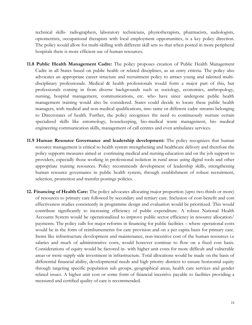technical skills- radiographers, laboratory technicians, physiotherapists, pharmacists, audiologists, optometrists, occupational therapists with local employment opportunities, is a key policy direction. The policy would allow for multi-skilling with different skill sets so that when posted in more peripheral hospitals there is more efficient use of human resources.

- **11.8 Public Health Management Cadre:** The policy proposes creation of Public Health Management Cadre in all States based on public health or related disciplines, as an entry criteria. The policy also advocates an appropriate career structure and recruitment policy to attract young and talented multidisciplinary professionals. Medical & health professionals would form a major part of this, but professionals coming in from diverse backgrounds such as sociology, economics, anthropology, nursing, hospital management, communications, etc. who have since undergone public health management training would also be considered. States could decide to locate these public health managers, with medical and non-medical qualifications, into same or different cadre streams belonging to Directorates of health. Further, the policy recognizes the need to continuously nurture certain specialized skills like entomology, housekeeping, bio-medical waste management, bio medical engineering communication skills, management of call centres and even ambulance services.
- **11.9 Human Resource Governance and leadership development:** The policy recognizes that human resource management is critical to health system strengthening and healthcare delivery and therefore the policy supports measures aimed at continuing medical and nursing education and on the job support to providers, especially those working in professional isolation in rural areas using digital tools and other appropriate training resources. Policy recommends development of leadership skills, strengthening human resource governance in public health system, through establishment of robust recruitment, selection, promotion and transfer postings policies.
- **12. Financing of Health Care:** The policy advocates allocating major proportion (upto two-thirds or more) of resources to primary care followed by secondary and tertiary care. Inclusion of cost-benefit and cost effectiveness studies consistently in programme design and evaluation would be prioritized. This would contribute significantly to increasing efficiency of public expenditure. A robust National Health Accounts System would be operationalized to improve public sector efficiency in resource allocation/ payments. The policy calls for major reforms in financing for public facilities – where operational costs would be in the form of reimbursements for care provision and on a per capita basis for primary care. Items like infrastructure development and maintenance, non-incentive cost of the human resources i.e salaries and much of administrative costs, would however continue to flow on a fixed cost basis. Considerations of equity would be factored in- with higher unit costs for more difficult and vulnerable areas or more supply side investment in infrastructure. Total allocations would be made on the basis of differential financial ability, developmental needs and high priority districts to ensure horizontal equity through targeting specific population sub groups, geographical areas, health care services and gender related issues. A higher unit cost or some form of financial incentive payable to facilities providing a measured and certified quality of care is recommended.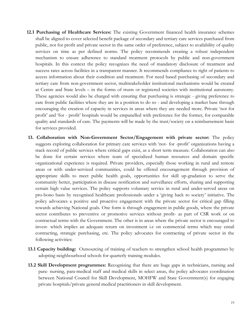- **12.1 Purchasing of Healthcare Services:** The existing Government financed health insurance schemes shall be aligned to cover selected benefit package of secondary and tertiary care services purchased from public, not for profit and private sector in the same order of preference, subject to availability of quality services on time as per defined norms. The policy recommends creating a robust independent mechanism to ensure adherence to standard treatment protocols by public and non-government hospitals. In this context the policy recognizes the need of mandatory disclosure of treatment and success rates across facilities in a transparent manner. It recommends compliance to right of patients to access information about their condition and treatment. For need based purchasing of secondary and tertiary care from non-government sector, multistakeholder institutional mechanisms would be created at Centre and State levels – in the forms of trusts or registered societies with institutional autonomy. These agencies would also be charged with ensuring that purchasing is strategic - giving preference to care from public facilities where they are in a position to do so - and developing a market base through encouraging the creation of capacity in services in areas where they are needed more. Private "not for profit" and "for - profit" hospitals would be empanelled with preference for the former, for comparable quality and standards of care. The payments will be made by the trust/society on a reimbursement basis for services provided.
- **13. Collaboration with Non-Government Sector/Engagement with private sector:** The policy suggests exploring collaboration for primary care services with 'not- for -profit' organizations having a track record of public services where critical gaps exist, as a short term measure. Collaboration can also be done for certain services where team of specialized human resources and domain specific organizational experience is required. Private providers, especially those working in rural and remote areas or with under-serviced communities, could be offered encouragement through provision of appropriate skills to meet public health goals, opportunities for skill up-gradation to serve the community better, participation in disease notification and surveillance efforts, sharing and supporting certain high value services. The policy supports voluntary service in rural and under-served areas on pro-bono basis by recognised healthcare professionals under a "giving back to society" initiative. The policy advocates a positive and proactive engagement with the private sector for critical gap filling towards achieving National goals. One form is through engagement in public goods, where the private sector contributes to preventive or promotive services without profit- as part of CSR work or on contractual terms with the Government. The other is in areas where the private sector is encouraged to invest- which implies an adequate return on investment i.e on commercial terms which may entail contracting, strategic purchasing, etc. The policy advocates for contracting of private sector in the following activities:
- **13.1 Capacity building:** Outsourcing of training of teachers to strengthen school health programmes by adopting neighbourhood schools for quarterly training modules.
- **13.2 Skill Development programmes:** Recognising that there are huge gaps in technicians, nursing and para- nursing, para-medical staff and medical skills in select areas, the policy advocates coordination between National Council for Skill Development, MOHFW and State Government(s) for engaging private hospitals/private general medical practitioners in skill development.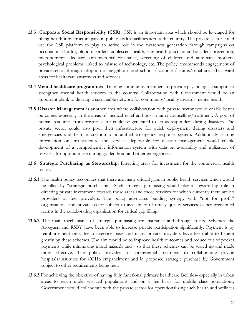- **13.3 Corporate Social Responsibility (CSR):** CSR is an important area which should be leveraged for filling health infrastructure gaps in public health facilities across the country. The private sector could use the CSR platform to play an active role in the awareness generation through campaigns on occupational health, blood disorders, adolescent health, safe health practices and accident prevention, micronutrient adequacy, anti-microbial resistance, screening of children and ante-natal mothers, psychological problems linked to misuse of technology, etc. The policy recommends engagement of private sector through adoption of neighbourhood schools/ colonies/ slums/tribal areas/backward areas for healthcare awareness and services.
- **13.4 Mental healthcare programmes-** Training community members to provide psychological support to strengthen mental health services in the country. Collaboration with Government would be an important plank to develop a sustainable network for community/locality towards mental health.
- **13.5 Disaster Management** is another area where collaboration with private sector would enable better outcomes especially in the areas of medical relief and post trauma counselling/treatment. A pool of human resources from private sector could be generated to act as responders during disasters. The private sector could also pool their infrastructure for quick deployment during disasters and emergencies and help in creation of a unified emergency response system. Additionally sharing information on infrastructure and services deployable for disaster management would enable development of a comprehensive information system with data on availability and utilization of services, for optimum use during golden hour and other emergencies.
- **13.6 Strategic Purchasing as Stewardship:** Directing areas for investment for the commercial health sector.
- **13.6.1** The health policy recognizes that there are many critical gaps in public health services which would be filled by "strategic purchasing". Such strategic purchasing would play a stewardship role in directing private investment towards those areas and those services for which currently there are no providers or few providers. The policy advocates building synergy with "not for profit" organisations and private sector subject to availability of timely quality services as per predefined norms in the collaborating organisation for critical gap filling.
- **13.6.2** The main mechanisms of strategic purchasing are insurance and through trusts. Schemes like Arogyasri and RSBY have been able to increase private participation significantly. Payment is by reimbursement on a fee for service basis and many private providers have been able to benefit greatly by these schemes. The aim would be to improve health outcomes and reduce out of pocket payments while minimising moral hazards and - so that these schemes can be scaled up and made more effective. The policy provides for preferential treatment to collaborating private hospitals/institutes for CGHS empanelment and in proposed strategic purchase by Government subject to other requirements being met.
- **13.6.3** For achieving the objective of having fully functional primary healthcare facilities- especially in urban areas to reach under-serviced populations and on a fee basis for middle class populations, Government would collaborate with the private sector for operationalizing such health and wellness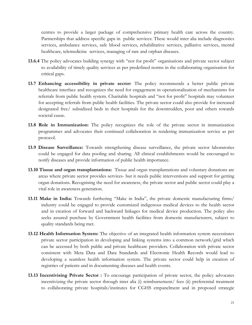centres to provide a larger package of comprehensive primary health care across the country. Partnerships that address specific gaps in public services: These would inter alia include diagnostics services, ambulance services, safe blood services, rehabilitative services, palliative services, mental healthcare, telemedicine services, managing of rare and orphan diseases.

- **13.6.4** The policy advocates building synergy with "not for profit" organisations and private sector subject to availability of timely quality services as per predefined norms in the collaborating organisation for critical gaps.
- **13.7 Enhancing accessibility in private sector:** The policy recommends a better public private healthcare interface and recognizes the need for engagement in operationalization of mechanisms for referrals from public health system. Charitable hospitals and "not for profit" hospitals may volunteer for accepting referrals from public health facilities. The private sector could also provide for increased designated free/ subsidized beds in their hospitals for the downtrodden, poor and others towards societal cause.
- **13.8 Role in Immunization:** The policy recognizes the role of the private sector in immunization programmes and advocates their continued collaboration in rendering immunization service as per protocol.
- **13.9 Disease Surveillance:** Towards strengthening disease surveillance, the private sector laboratories could be engaged for data pooling and sharing. All clinical establishments would be encouraged to notify diseases and provide information of public health importance.
- **13.10 Tissue and organ transplantations:** Tissue and organ transplantations and voluntary donations are areas where private sector provides services- but it needs public interventions and support for getting organ donations. Recognising the need for awareness, the private sector and public sector could play a vital role in awareness generation.
- **13.11 Make in India:** Towards furthering "Make in India", the private domestic manufacturing firms/ industry could be engaged to provide customized indigenous medical devices to the health sector and in creation of forward and backward linkages for medical device production. The policy also seeks assured purchase by Government health facilities from domestic manufacturers, subject to quality standards being met.
- **13.12 Health Information System:** The objective of an integrated health information system necessitates private sector participation in developing and linking systems into a common network/grid which can be accessed by both public and private healthcare providers. Collaboration with private sector consistent with Meta Data and Data Standards and Electronic Health Records would lead to developing a seamless health information system. The private sector could help in creation of registries of patients and in documenting diseases and health events.
- **13.13 Incentivising Private Sector :** To encourage participation of private sector, the policy advocates incentivizing the private sector through inter alia (i) reimbursement/ fees (ii) preferential treatment to collaborating private hospitals/institutes for CGHS empanelment and in proposed strategic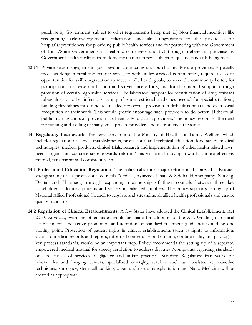purchase by Government, subject to other requirements being met (iii) Non-financial incentives like recognition/ acknowledgement/ felicitation and skill upgradation to the private sector hospitals/practitioners for providing public health services and for partnering with the Government of India/State Governments in health care delivery and (iv) through preferential purchase by Government health facilities from domestic manufacturers, subject to quality standards being met.

- **13.14** Private sector engagement goes beyond contracting and purchasing. Private providers, especially those working in rural and remote areas, or with under-serviced communities, require access to opportunities for skill up-gradation to meet public health goals, to serve the community better, for participation in disease notification and surveillance efforts, and for sharing and support through provision of certain high value services- like laboratory support for identification of drug resistant tuberculosis or other infections, supply of some restricted medicines needed for special situations, building flexibilities into standards needed for service provision in difficult contexts and even social recognition of their work. This would greatly encourage such providers to do better. Hitherto all public training and skill provision has been only to public providers. The policy recognises the need for training and skilling of many small private providers and recommends the same.
- **14. Regulatory Framework:** The regulatory role of the Ministry of Health and Family Welfare- which includes regulation of clinical establishments, professional and technical education, food safety, medical technologies, medical products, clinical trials, research and implementation of other health related lawsneeds urgent and concrete steps towards reform. This will entail moving towards a more effective, rational, transparent and consistent regime.
- **14.1 Professional Education Regulation:** The policy calls for a major reform in this area. It advocates strengthening of six professional councils (Medical, Ayurveda Unani & Siddha, Homeopathy, Nursing, Dental and Pharmacy) through expanding membership of these councils between three key stakeholders - doctors, patients and society in balanced numbers. The policy supports setting up of National Allied Professional Council to regulate and streamline all allied health professionals and ensure quality standards.
- **14.2 Regulation of Clinical Establishments:** A few States have adopted the Clinical Establishments Act 2010. Advocacy with the other States would be made for adoption of the Act. Grading of clinical establishments and active promotion and adoption of standard treatment guidelines would be one starting point. Protection of patient rights in clinical establishments (such as rights to information, access to medical records and reports, informed consent, second opinion, confidentiality and privacy) as key process standards, would be an important step. Policy recommends the setting up of a separate, empowered medical tribunal for speedy resolution to address disputes /complaints regarding standards of care, prices of services, negligence and unfair practices. Standard Regulatory framework for laboratories and imaging centers, specialized emerging services such as assisted reproductive techniques, surrogacy, stem cell banking, organ and tissue transplantation and Nano Medicine will be created as appropriate.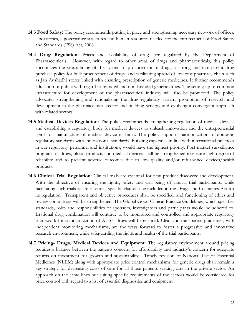- **14.3 Food Safety:** The policy recommends putting in place and strengthening necessary network of offices, laboratories, e-governance structures and human resources needed for the enforcement of Food Safety and Standards (FSS) Act, 2006.
- **14.4 Drug Regulation:** Prices and availability of drugs are regulated by the Department of Pharmaceuticals. However, with regard to other areas of drugs and pharmaceuticals, this policy encourages the streamlining of the system of procurement of drugs; a strong and transparent drug purchase policy for bulk procurement of drugs; and facilitating spread of low cost pharmacy chain such as Jan Aushadhi stores linked with ensuring prescription of generic medicines. It further recommends education of public with regard to branded and non-branded generic drugs. The setting up of common infrastructure for development of the pharmaceutical industry will also be promoted. The policy advocates strengthening and rationalizing the drug regulatory system, promotion of research and development in the pharmaceutical sector and building synergy and evolving a convergent approach with related sectors.
- **14.5 Medical Devices Regulation:** The policy recommends strengthening regulation of medical devices and establishing a regulatory body for medical devices to unleash innovation and the entrepreneurial spirit for manufacture of medical device in India. The policy supports harmonization of domestic regulatory standards with international standards. Building capacities in line with international practices in our regulatory personnel and institutions, would have the highest priority. Post market surveillance program for drugs, blood products and medical devices shall be strengthened to ensure high degree of reliability and to prevent adverse outcomes due to low quality and/or refurbished devices/health products.
- **14.6 Clinical Trial Regulation:** Clinical trials are essential for new product discovery and development. With the objective of ensuring the rights, safety and well-being of clinical trial participants, while facilitating such trials as are essential, specific clause(s) be included in the Drugs and Cosmetics Act for its regulation. Transparent and objective procedures shall be specified, and functioning of ethics and review committees will be strengthened. The Global Good Clinical Practice Guidelines, which specifies standards, roles and responsibilities of sponsors, investigators and participants would be adhered to. Irrational drug combination will continue to be monitored and controlled and appropriate regulatory framework for standardization of AUSH drugs will be ensured. Clear and transparent guidelines, with independent monitoring mechanisms, are the ways forward to foster a progressive and innovative research environment, while safeguarding the rights and health of the trial participants.
- **14.7 Pricing- Drugs, Medical Devices and Equipment:** The regulatory environment around pricing requires a balance between the patients concern for affordability and industry"s concern for adequate returns on investment for growth and sustainability. Timely revision of National List of Essential Medicines (NLEM) along with appropriate price control mechanisms for generic drugs shall remain a key strategy for decreasing costs of care for all those patients seeking care in the private sector. An approach on the same lines but suiting specific requirements of the sectors would be considered for price control with regard to a list of essential diagnostics and equipment.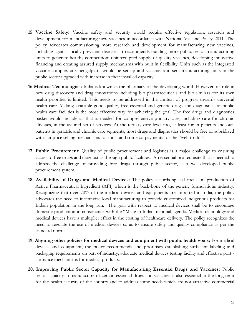- **15 Vaccine Safety:** Vaccine safety and security would require effective regulation, research and development for manufacturing new vaccines in accordance with National Vaccine Policy 2011. The policy advocates commissioning more research and development for manufacturing new vaccines, including against locally prevalent diseases. It recommends building more public sector manufacturing units to generate healthy competition; uninterrupted supply of quality vaccines, developing innovative financing and creating assured supply mechanisms with built in flexibility. Units such as the integrated vaccine complex at Chengalpattu would be set up and vaccine, anti-sera manufacturing units in the public sector upgraded with increase in their installed capacity.
- **16 Medical Technologies:** India is known as the pharmacy of the developing world. However, its role in new drug discovery and drug innovations including bio-pharmaceuticals and bio-similars for its own health priorities is limited. This needs to be addressed in the context of progress towards universal health care. Making available good quality, free essential and generic drugs and diagnostics, at public health care facilities is the most effective way for achieving the goal. The free drugs and diagnostics basket would include all that is needed for comprehensive primary care, including care for chronic illnesses, in the assured set of services. At the tertiary care level too, at least for in-patients and outpatients in geriatric and chronic care segments, most drugs and diagnostics should be free or subsidized with fair price selling mechanisms for most and some co-payments for the "well-to-do".
- **17. Public Procurement:** Quality of public procurement and logistics is a major challenge to ensuring access to free drugs and diagnostics through public facilities. An essential pre-requisite that is needed to address the challenge of providing free drugs through public sector, is a well-developed public procurement system.
- **18. Availability of Drugs and Medical Devices:** The policy accords special focus on production of Active Pharmaceutical Ingredient (API) which is the back-bone of the generic formulations industry. Recognizing that over 70% of the medical devices and equipments are imported in India, the policy advocates the need to incentivize local manufacturing to provide customized indigenous products for Indian population in the long run. The goal with respect to medical devices shall be to encourage domestic production in consonance with the "Make in India" national agenda. Medical technology and medical devices have a multiplier effect in the costing of healthcare delivery. The policy recognizes the need to regulate the use of medical devices so as to ensure safety and quality compliance as per the standard norms.
- **19. Aligning other policies for medical devices and equipment with public health goals:** For medical devices and equipment, the policy recommends and prioritises establishing sufficient labeling and packaging requirements on part of industry, adequate medical devices testing facility and effective port clearance mechanisms for medical products.
- **20. Improving Public Sector Capacity for Manufacturing Essential Drugs and Vaccines:** Public sector capacity in manufacture of certain essential drugs and vaccines is also essential in the long term for the health security of the country and to address some needs which are not attractive commercial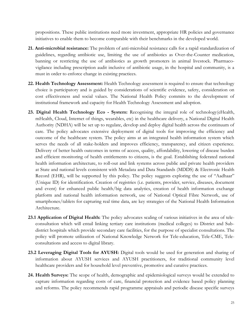propositions. These public institutions need more investment, appropriate HR policies and governance initiatives to enable them to become comparable with their benchmarks in the developed world.

- **21. Anti-microbial resistance:** The problem of anti-microbial resistance calls for a rapid standardization of guidelines, regarding antibiotic use, limiting the use of antibiotics as Over-the-Counter medication, banning or restricting the use of antibiotics as growth promoters in animal livestock. Pharmacovigilance including prescription audit inclusive of antibiotic usage, in the hospital and community, is a must in order to enforce change in existing practices.
- **22. Health Technology Assessment:** Health Technology assessment is required to ensure that technology choice is participatory and is guided by considerations of scientific evidence, safety, consideration on cost effectiveness and social values. The National Health Policy commits to the development of institutional framework and capacity for Health Technology Assessment and adoption.
- **23. Digital Health Technology Eco - System:** Recognising the integral role of technology(eHealth, mHealth, Cloud, Internet of things, wearables, etc) in the healthcare delivery, a National Digital Health Authority (NDHA) will be set up to regulate, develop and deploy digital health across the continuum of care. The policy advocates extensive deployment of digital tools for improving the efficiency and outcome of the healthcare system. The policy aims at an integrated health information system which serves the needs of all stake-holders and improves efficiency, transparency, and citizen experience. Delivery of better health outcomes in terms of access, quality, affordability, lowering of disease burden and efficient monitoring of health entitlements to citizens, is the goal. Establishing federated national health information architecture, to roll-out and link systems across public and private health providers at State and national levels consistent with Metadata and Data Standards (MDDS) & Electronic Health Record (EHR), will be supported by this policy. The policy suggests exploring the use of "Aadhaar" (Unique ID) for identification. Creation of registries (i.e. patients, provider, service, diseases, document and event) for enhanced public health/big data analytics, creation of health information exchange platform and national health information network, use of National Optical Fibre Network, use of smartphones/tablets for capturing real time data, are key strategies of the National Health Information Architecture.
- **23.1 Application of Digital Health:** The policy advocates scaling of various initiatives in the area of teleconsultation which will entail linking tertiary care institutions (medical colleges) to District and Subdistrict hospitals which provide secondary care facilities, for the purpose of specialist consultations. The policy will promote utilization of National Knowledge Network for Tele-education, Tele-CME, Teleconsultations and access to digital library.
- **23.2 Leveraging Digital Tools for AYUSH:** Digital tools would be used for generation and sharing of information about AYUSH services and AYUSH practitioners, for traditional community level healthcare providers and for household level preventive, promotive and curative practices.
- **24. Health Surveys:** The scope of health, demographic and epidemiological surveys would be extended to capture information regarding costs of care, financial protection and evidence based policy planning and reforms. The policy recommends rapid programme appraisals and periodic disease specific surveys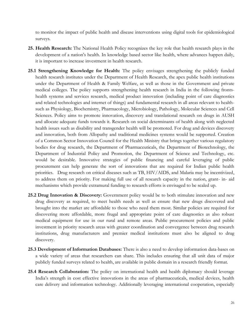to monitor the impact of public health and disease interventions using digital tools for epidemiological surveys.

- **25. Health Research:** The National Health Policy recognizes the key role that health research plays in the development of a nation"s health. In knowledge based sector like health, where advances happen daily, it is important to increase investment in health research.
- **25.1 Strengthening Knowledge for Health:** The policy envisages strengthening the publicly funded health research institutes under the Department of Health Research, the apex public health institutions under the Department of Health & Family Welfare, as well as those in the Government and private medical colleges. The policy supports strengthening health research in India in the following frontshealth systems and services research, medical product innovation (including point of care diagnostics and related technologies and internet of things) and fundamental research in all areas relevant to healthsuch as Physiology, Biochemistry, Pharmacology, Microbiology, Pathology, Molecular Sciences and Cell Sciences. Policy aims to promote innovation, discovery and translational research on drugs in AUSH and allocate adequate funds towards it. Research on social determinants of health along with neglected health issues such as disability and transgender health will be promoted. For drug and devices discovery and innovation, both from Allopathy and traditional medicines systems would be supported. Creation of a Common Sector Innovation Council for the Health Ministry that brings together various regulatory bodies for drug research, the Department of Pharmaceuticals, the Department of Biotechnology, the Department of Industrial Policy and Promotion, the Department of Science and Technology, etc. would be desirable. Innovative strategies of public financing and careful leveraging of public procurement can help generate the sort of innovations that are required for Indian public health priorities. Drug research on critical diseases such as TB, HIV/AIDS, and Malaria may be incentivized, to address them on priority. For making full use of all research capacity in the nation, grant- in- aid mechanisms which provide extramural funding to research efforts is envisaged to be scaled up.
- **25.2 Drug Innovation & Discovery:** Government policy would be to both stimulate innovation and new drug discovery as required, to meet health needs as well as ensure that new drugs discovered and brought into the market are affordable to those who need them most. Similar policies are required for discovering more affordable, more frugal and appropriate point of care diagnostics as also robust medical equipment for use in our rural and remote areas. Public procurement policies and public investment in priority research areas with greater coordination and convergence between drug research institutions, drug manufacturers and premier medical institutions must also be aligned to drug discovery.
- **25.3 Development of Information Databases:** There is also a need to develop information data-bases on a wide variety of areas that researchers can share. This includes ensuring that all unit data of major publicly funded surveys related to health, are available in public domain in a research friendly format.
- **25.4 Research Collaboration:** The policy on international health and health diplomacy should leverage India"s strength in cost effective innovations in the areas of pharmaceuticals, medical devices, health care delivery and information technology. Additionally leveraging international cooperation, especially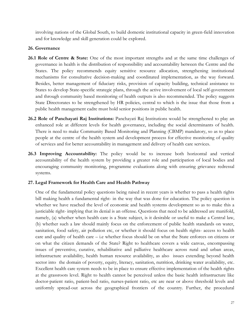involving nations of the Global South, to build domestic institutional capacity in green-field innovation and for knowledge and skill generation could be explored.

## **26. Governance**

- **26.1 Role of Centre & State:** One of the most important strengths and at the same time challenges of governance in health is the distribution of responsibility and accountability between the Centre and the States. The policy recommends equity sensitive resource allocation, strengthening institutional mechanisms for consultative decision-making and coordinated implementation, as the way forward. Besides, better management of fiduciary risks, provision of capacity building, technical assistance to States to develop State-specific strategic plans, through the active involvement of local self-government and through community based monitoring of health outputs is also recommended. The policy suggests State Directorates to be strengthened by HR policies, central to which is the issue that those from a public health management cadre must hold senior positions in public health.
- **26.2 Role of Panchayati Raj Institutions:** Panchayati Raj Institutions would be strengthened to play an enhanced role at different levels for health governance, including the social determinants of health. There is need to make Community Based Monitoring and Planning (CBMP) mandatory, so as to place people at the centre of the health system and development process for effective monitoring of quality of services and for better accountability in management and delivery of health care services.
- **26.3 Improving Accountability:** The policy would be to increase both horizontal and vertical accountability of the health system by providing a greater role and participation of local bodies and encouraging community monitoring, programme evaluations along with ensuring grievance redressal systems.

#### **27. Legal Framework for Health Care and Health Pathway**

One of the fundamental policy questions being raised in recent years is whether to pass a health rights bill making health a fundamental right- in the way that was done for education. The policy question is whether we have reached the level of economic and health systems development so as to make this a justiciable right- implying that its denial is an offense. Questions that need to be addressed are manifold, namely, (a) whether when health care is a State subject, is it desirable or useful to make a Central law, (b) whether such a law should mainly focus on the enforcement of public health standards on water, sanitation, food safety, air pollution etc, or whether it should focus on health rights- access to health care and quality of health care – i.e whether focus should be on what the State enforces on citizens or on what the citizen demands of the State? Right to healthcare covers a wide canvas, encompassing issues of preventive, curative, rehabilitative and palliative healthcare across rural and urban areas, infrastructure availability, health human resource availability, as also issues extending beyond health sector into the domain of poverty, equity, literacy, sanitation, nutrition, drinking water availability, etc. Excellent health care system needs to be in place to ensure effective implementation of the health rights at the grassroots level. Right to health cannot be perceived unless the basic health infrastructure like doctor-patient ratio, patient-bed ratio, nurses-patient ratio, etc are near or above threshold levels and uniformly spread-out across the geographical frontiers of the country. Further, the procedural